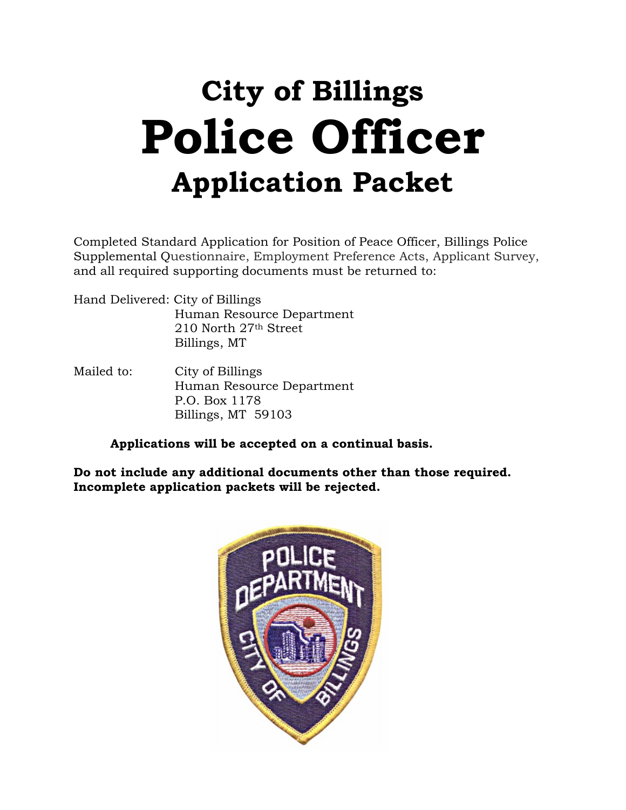# **City of Billings Police Officer Application Packet**

Completed Standard Application for Position of Peace Officer, Billings Police Supplemental Questionnaire, Employment Preference Acts, Applicant Survey, and all required supporting documents must be returned to:

Hand Delivered: City of Billings Human Resource Department 210 North 27th Street Billings, MT

Mailed to: City of Billings Human Resource Department P.O. Box 1178 Billings, MT 59103

**Applications will be accepted on a continual basis.** 

**Do not include any additional documents other than those required. Incomplete application packets will be rejected.**

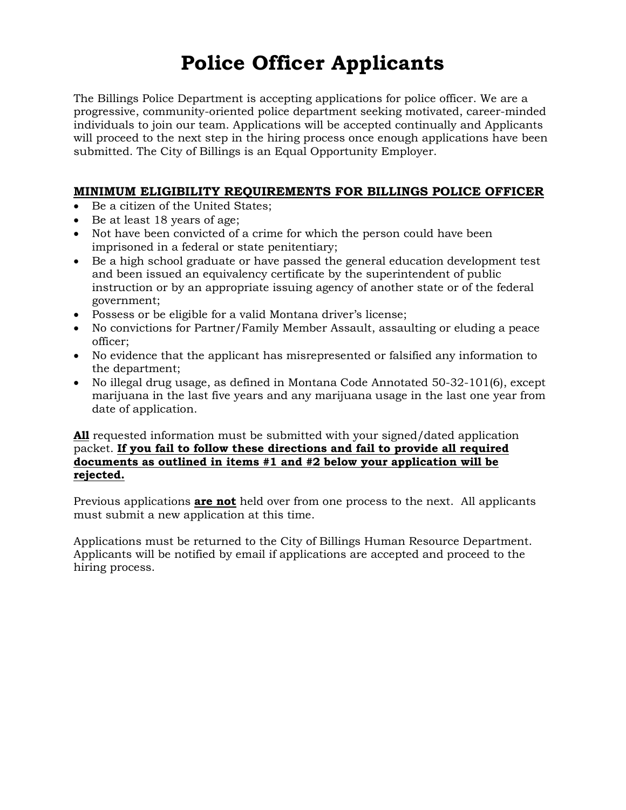# **Police Officer Applicants**

The Billings Police Department is accepting applications for police officer. We are a progressive, community-oriented police department seeking motivated, career-minded individuals to join our team. Applications will be accepted continually and Applicants will proceed to the next step in the hiring process once enough applications have been submitted. The City of Billings is an Equal Opportunity Employer.

# **MINIMUM ELIGIBILITY REQUIREMENTS FOR BILLINGS POLICE OFFICER**

- Be a citizen of the United States;
- Be at least 18 years of age;
- Not have been convicted of a crime for which the person could have been imprisoned in a federal or state penitentiary;
- Be a high school graduate or have passed the general education development test and been issued an equivalency certificate by the superintendent of public instruction or by an appropriate issuing agency of another state or of the federal government;
- Possess or be eligible for a valid Montana driver's license;
- No convictions for Partner/Family Member Assault, assaulting or eluding a peace officer;
- No evidence that the applicant has misrepresented or falsified any information to the department;
- No illegal drug usage, as defined in Montana Code Annotated 50-32-101(6), except marijuana in the last five years and any marijuana usage in the last one year from date of application.

#### **All** requested information must be submitted with your signed/dated application packet. **If you fail to follow these directions and fail to provide all required documents as outlined in items #1 and #2 below your application will be rejected.**

Previous applications **are not** held over from one process to the next. All applicants must submit a new application at this time.

Applications must be returned to the City of Billings Human Resource Department. Applicants will be notified by email if applications are accepted and proceed to the hiring process.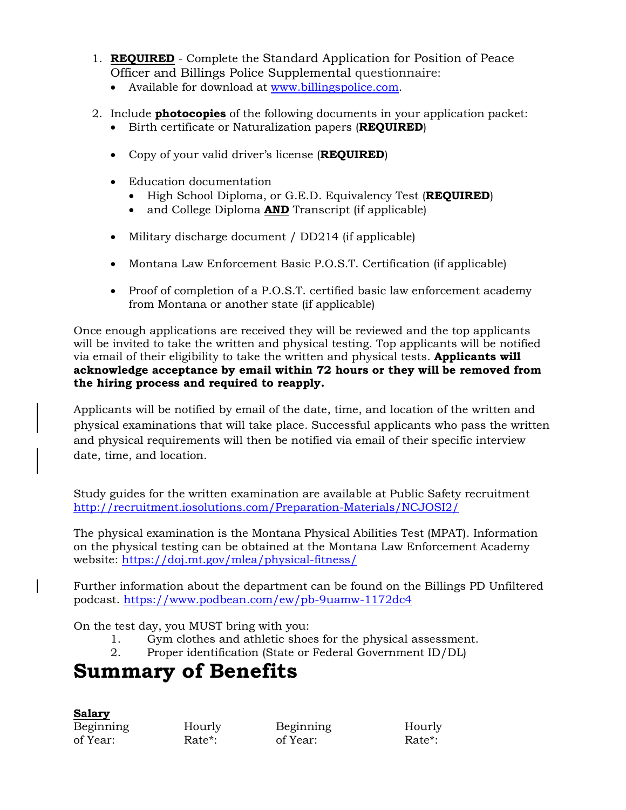- 1. **REQUIRED** Complete the Standard Application for Position of Peace Officer and Billings Police Supplemental questionnaire:
	- Available for download at [www.billingspolice.com.](http://www.billingspolice.com/)
- 2. Include **photocopies** of the following documents in your application packet:
	- Birth certificate or Naturalization papers (**REQUIRED**)
	- Copy of your valid driver's license (**REQUIRED**)
	- Education documentation
		- High School Diploma, or G.E.D. Equivalency Test (**REQUIRED**)
		- and College Diploma **AND** Transcript (if applicable)
	- Military discharge document / DD214 (if applicable)
	- Montana Law Enforcement Basic P.O.S.T. Certification (if applicable)
	- Proof of completion of a P.O.S.T. certified basic law enforcement academy from Montana or another state (if applicable)

Once enough applications are received they will be reviewed and the top applicants will be invited to take the written and physical testing. Top applicants will be notified via email of their eligibility to take the written and physical tests. **Applicants will acknowledge acceptance by email within 72 hours or they will be removed from the hiring process and required to reapply.**

Applicants will be notified by email of the date, time, and location of the written and physical examinations that will take place. Successful applicants who pass the written and physical requirements will then be notified via email of their specific interview date, time, and location.

Study guides for the written examination are available at Public Safety recruitment <http://recruitment.iosolutions.com/Preparation-Materials/NCJOSI2/>

The physical examination is the Montana Physical Abilities Test (MPAT). Information on the physical testing can be obtained at the Montana Law Enforcement Academy website:<https://doj.mt.gov/mlea/physical-fitness/>

Further information about the department can be found on the Billings PD Unfiltered podcast.<https://www.podbean.com/ew/pb-9uamw-1172dc4>

On the test day, you MUST bring with you:

- 1. Gym clothes and athletic shoes for the physical assessment.
- 2. Proper identification (State or Federal Government ID/DL)

# **Summary of Benefits**

| Salary    |  |
|-----------|--|
| Beginning |  |
| of Year:  |  |

Beginning Hourly Beginning Hourly of Year: Rate\*: of Year: Rate\*: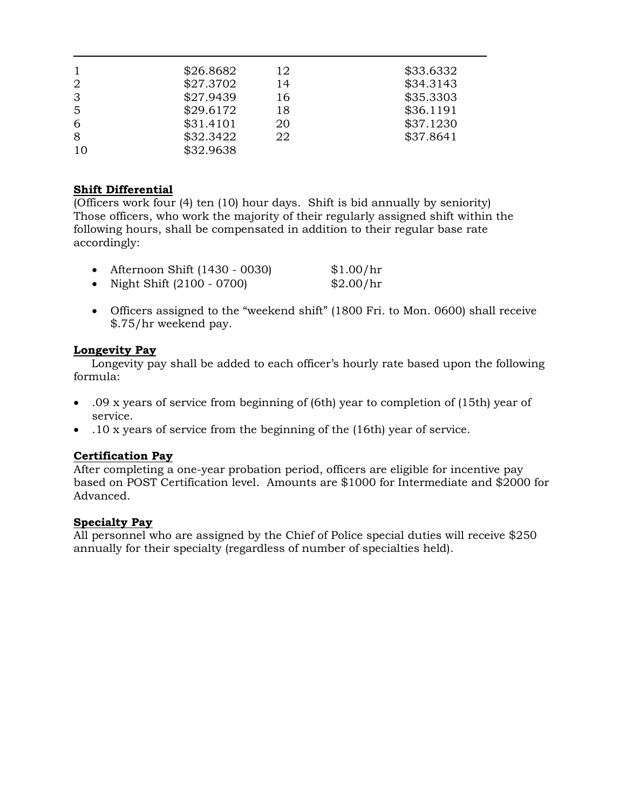|                | \$26.8682 | 12 | \$33.6332 |
|----------------|-----------|----|-----------|
| $\overline{2}$ | \$27.3702 | 14 | \$34.3143 |
| 3              | \$27.9439 | 16 | \$35.3303 |
| 5              | \$29.6172 | 18 | \$36.1191 |
| 6              | \$31.4101 | 20 | \$37.1230 |
| 8              | \$32.3422 | 22 | \$37.8641 |
| 10             | \$32.9638 |    |           |

#### **Shift Differential**

(Officers work four (4) ten (10) hour days. Shift is bid annually by seniority) Those officers, who work the majority of their regularly assigned shift within the following hours, shall be compensated in addition to their regular base rate accordingly:

| Afternoon Shift (1430 - 0030) | \$1.00/hr |
|-------------------------------|-----------|
| Night Shift (2100 - 0700)     | \$2.00/hr |

• Officers assigned to the "weekend shift" (1800 Fri. to Mon. 0600) shall receive \$.75/hr weekend pay.

#### **Longevity Pay**

 Longevity pay shall be added to each officer's hourly rate based upon the following formula:

- .09 x years of service from beginning of (6th) year to completion of (15th) year of service.
- .10 x years of service from the beginning of the (16th) year of service.

#### **Certification Pay**

After completing a one-year probation period, officers are eligible for incentive pay based on POST Certification level. Amounts are \$1000 for Intermediate and \$2000 for Advanced.

#### **Specialty Pay**

All personnel who are assigned by the Chief of Police special duties will receive \$250 annually for their specialty (regardless of number of specialties held).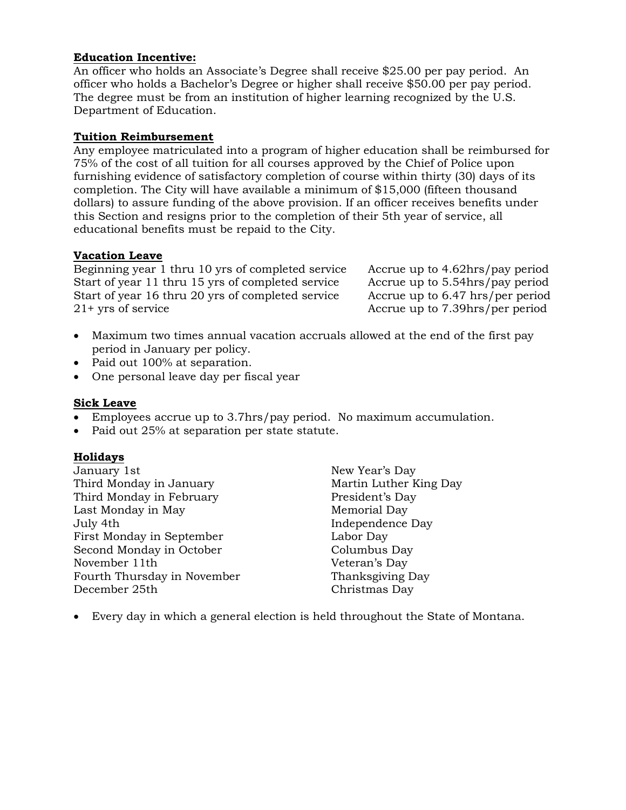#### **Education Incentive:**

An officer who holds an Associate's Degree shall receive \$25.00 per pay period. An officer who holds a Bachelor's Degree or higher shall receive \$50.00 per pay period. The degree must be from an institution of higher learning recognized by the U.S. Department of Education.

#### **Tuition Reimbursement**

Any employee matriculated into a program of higher education shall be reimbursed for 75% of the cost of all tuition for all courses approved by the Chief of Police upon furnishing evidence of satisfactory completion of course within thirty (30) days of its completion. The City will have available a minimum of \$15,000 (fifteen thousand dollars) to assure funding of the above provision. If an officer receives benefits under this Section and resigns prior to the completion of their 5th year of service, all educational benefits must be repaid to the City.

#### **Vacation Leave**

Beginning year 1 thru 10 yrs of completed service Accrue up to 4.62hrs/pay period Start of year 11 thru 15 yrs of completed service Accrue up to 5.54hrs/pay period Start of year 16 thru 20 yrs of completed service Accrue up to 6.47 hrs/per period 21+ yrs of service and the Accrue up to 7.39hrs/per period

- Maximum two times annual vacation accruals allowed at the end of the first pay period in January per policy.
- Paid out 100% at separation.
- One personal leave day per fiscal year

#### **Sick Leave**

- Employees accrue up to 3.7hrs/pay period. No maximum accumulation.
- Paid out 25% at separation per state statute.

#### **Holidays**

January 1st New Year's Day Third Monday in January **Martin Luther King Day** Third Monday in February President's Day Last Monday in May Nemorial Day July 4th Independence Day First Monday in September Labor Day Second Monday in October Columbus Day November 11th Veteran's Day Fourth Thursday in November Thanksgiving Day December 25th Christmas Day

• Every day in which a general election is held throughout the State of Montana.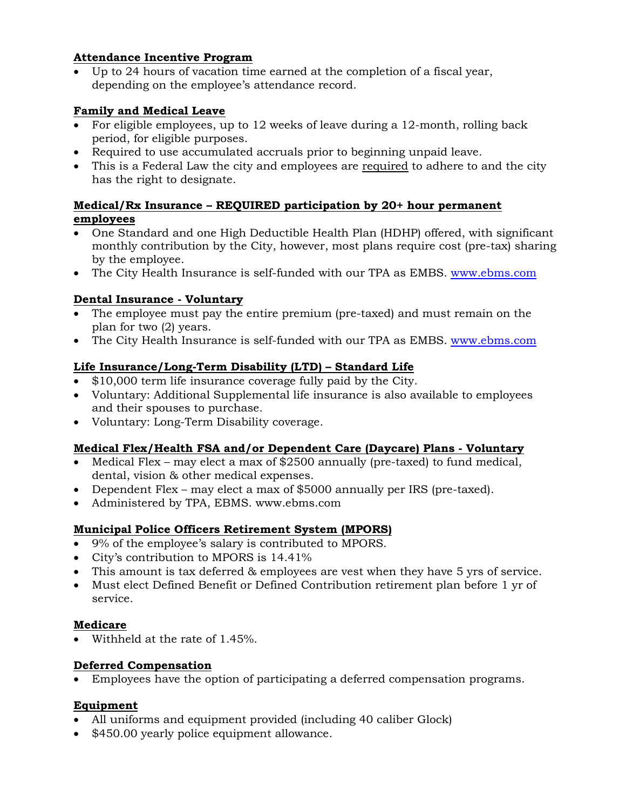### **Attendance Incentive Program**

• Up to 24 hours of vacation time earned at the completion of a fiscal year, depending on the employee's attendance record.

## **Family and Medical Leave**

- For eligible employees, up to 12 weeks of leave during a 12-month, rolling back period, for eligible purposes.
- Required to use accumulated accruals prior to beginning unpaid leave.
- This is a Federal Law the city and employees are required to adhere to and the city has the right to designate.

## **Medical/Rx Insurance – REQUIRED participation by 20+ hour permanent employees**

- One Standard and one High Deductible Health Plan (HDHP) offered, with significant monthly contribution by the City, however, most plans require cost (pre-tax) sharing by the employee.
- The City Health Insurance is self-funded with our TPA as EMBS. [www.ebms.com](http://www.ebms.com/)

### **Dental Insurance - Voluntary**

- The employee must pay the entire premium (pre-taxed) and must remain on the plan for two (2) years.
- The City Health Insurance is self-funded with our TPA as EMBS. [www.ebms.com](http://www.ebms.com/)

### **Life Insurance/Long-Term Disability (LTD) – Standard Life**

- \$10,000 term life insurance coverage fully paid by the City.
- Voluntary: Additional Supplemental life insurance is also available to employees and their spouses to purchase.
- Voluntary: Long-Term Disability coverage.

# **Medical Flex/Health FSA and/or Dependent Care (Daycare) Plans - Voluntary**

- Medical Flex may elect a max of \$2500 annually (pre-taxed) to fund medical, dental, vision & other medical expenses.
- Dependent Flex may elect a max of \$5000 annually per IRS (pre-taxed).
- Administered by TPA, EBMS. www.ebms.com

# **Municipal Police Officers Retirement System (MPORS)**

- 9% of the employee's salary is contributed to MPORS.
- City's contribution to MPORS is 14.41%
- This amount is tax deferred & employees are vest when they have 5 yrs of service.
- Must elect Defined Benefit or Defined Contribution retirement plan before 1 yr of service.

#### **Medicare**

• Withheld at the rate of 1.45%.

#### **Deferred Compensation**

• Employees have the option of participating a deferred compensation programs.

# **Equipment**

- All uniforms and equipment provided (including 40 caliber Glock)
- \$450.00 yearly police equipment allowance.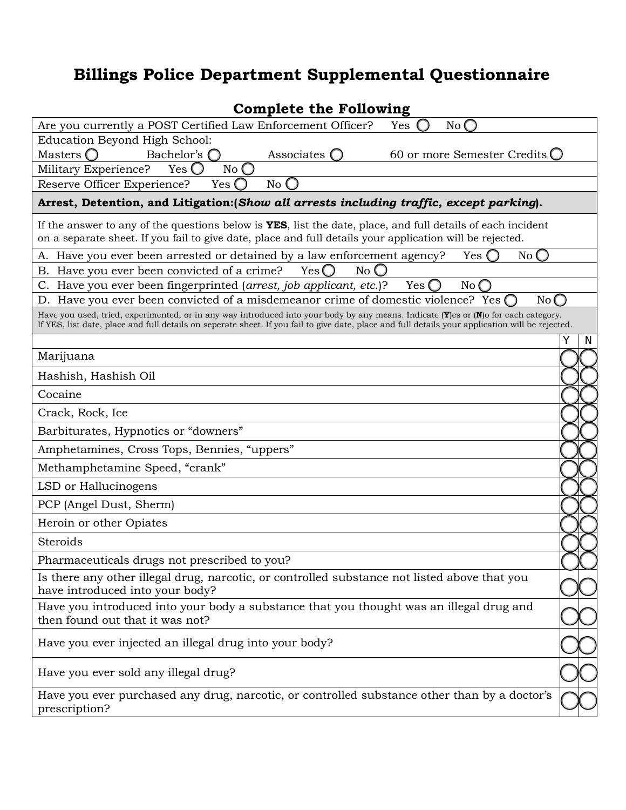# **Billings Police Department Supplemental Questionnaire**

| <b>Complete the Following</b>                                                                                                                                                                                                                                                                     |   |   |  |  |
|---------------------------------------------------------------------------------------------------------------------------------------------------------------------------------------------------------------------------------------------------------------------------------------------------|---|---|--|--|
| Are you currently a POST Certified Law Enforcement Officer?<br>Yes<br>No <sub>0</sub>                                                                                                                                                                                                             |   |   |  |  |
| Education Beyond High School:                                                                                                                                                                                                                                                                     |   |   |  |  |
| Masters $\bigcirc$<br>Bachelor's $\bigcap$<br>60 or more Semester Credits O<br>Associates $\bigcirc$                                                                                                                                                                                              |   |   |  |  |
| Military Experience?<br>$Yes$ $\bigcirc$<br>$No$ $O$                                                                                                                                                                                                                                              |   |   |  |  |
| Reserve Officer Experience?<br>Yes $\bigcirc$<br>No                                                                                                                                                                                                                                               |   |   |  |  |
| Arrest, Detention, and Litigation: (Show all arrests including traffic, except parking).                                                                                                                                                                                                          |   |   |  |  |
| If the answer to any of the questions below is <b>YES</b> , list the date, place, and full details of each incident<br>on a separate sheet. If you fail to give date, place and full details your application will be rejected.                                                                   |   |   |  |  |
| A. Have you ever been arrested or detained by a law enforcement agency?<br>No <sub>C</sub><br>Yes                                                                                                                                                                                                 |   |   |  |  |
| Have you ever been convicted of a crime?<br>$Yes$ $\bigcirc$<br>No C<br>Β.                                                                                                                                                                                                                        |   |   |  |  |
| Have you ever been fingerprinted (arrest, job applicant, etc.)?<br>Yes<br>No <sub>C</sub><br>C.                                                                                                                                                                                                   |   |   |  |  |
| D. Have you ever been convicted of a misdemeanor crime of domestic violence? Yes<br>No(                                                                                                                                                                                                           |   |   |  |  |
| Have you used, tried, experimented, or in any way introduced into your body by any means. Indicate ( $Y$ ) es or ( $N$ ) of or each category.<br>If YES, list date, place and full details on seperate sheet. If you fail to give date, place and full details your application will be rejected. |   |   |  |  |
|                                                                                                                                                                                                                                                                                                   | Υ | N |  |  |
| Marijuana                                                                                                                                                                                                                                                                                         |   |   |  |  |
| Hashish, Hashish Oil                                                                                                                                                                                                                                                                              |   |   |  |  |
| Cocaine                                                                                                                                                                                                                                                                                           |   |   |  |  |
| Crack, Rock, Ice                                                                                                                                                                                                                                                                                  |   |   |  |  |
| Barbiturates, Hypnotics or "downers"                                                                                                                                                                                                                                                              |   |   |  |  |
| Amphetamines, Cross Tops, Bennies, "uppers"                                                                                                                                                                                                                                                       |   |   |  |  |
| Methamphetamine Speed, "crank"                                                                                                                                                                                                                                                                    |   |   |  |  |
| LSD or Hallucinogens                                                                                                                                                                                                                                                                              |   |   |  |  |
| PCP (Angel Dust, Sherm)                                                                                                                                                                                                                                                                           |   |   |  |  |
| Heroin or other Opiates                                                                                                                                                                                                                                                                           |   |   |  |  |
| Steroids                                                                                                                                                                                                                                                                                          |   |   |  |  |
| Pharmaceuticals drugs not prescribed to you?                                                                                                                                                                                                                                                      |   |   |  |  |
| Is there any other illegal drug, narcotic, or controlled substance not listed above that you<br>have introduced into your body?                                                                                                                                                                   |   |   |  |  |
| Have you introduced into your body a substance that you thought was an illegal drug and<br>then found out that it was not?                                                                                                                                                                        |   |   |  |  |
| Have you ever injected an illegal drug into your body?                                                                                                                                                                                                                                            |   |   |  |  |
| Have you ever sold any illegal drug?                                                                                                                                                                                                                                                              |   |   |  |  |
| Have you ever purchased any drug, narcotic, or controlled substance other than by a doctor's<br>prescription?                                                                                                                                                                                     |   |   |  |  |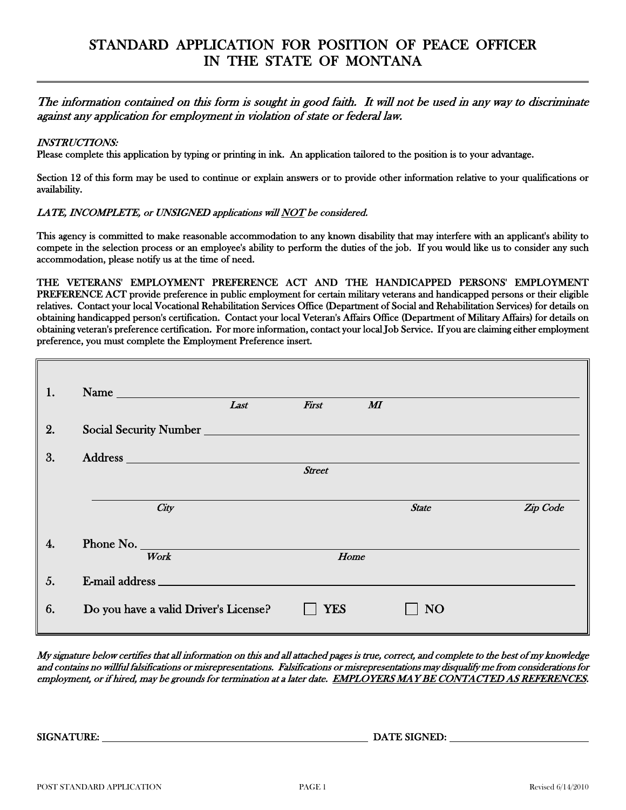# STANDARD APPLICATION FOR POSITION OF PEACE OFFICER IN THE STATE OF MONTANA

The information contained on this form is sought in good faith. It will not be used in any way to discriminate against any application for employment in violation of state or federal law.

#### INSTRUCTIONS:

 $\overline{a}$ 

Please complete this application by typing or printing in ink. An application tailored to the position is to your advantage.

Section 12 of this form may be used to continue or explain answers or to provide other information relative to your qualifications or availability.

#### LATE, INCOMPLETE, or UNSIGNED applications will NOT be considered.

This agency is committed to make reasonable accommodation to any known disability that may interfere with an applicant's ability to compete in the selection process or an employee's ability to perform the duties of the job. If you would like us to consider any such accommodation, please notify us at the time of need.

THE VETERANS' EMPLOYMENT PREFERENCE ACT AND THE HANDICAPPED PERSONS' EMPLOYMENT PREFERENCE ACT provide preference in public employment for certain military veterans and handicapped persons or their eligible relatives. Contact your local Vocational Rehabilitation Services Office (Department of Social and Rehabilitation Services) for details on obtaining handicapped person's certification. Contact your local Veteran's Affairs Office (Department of Military Affairs) for details on obtaining veteran's preference certification. For more information, contact your local Job Service. If you are claiming either employment preference, you must complete the Employment Preference insert.

| 1. | Name and the Name of the Name of the Name of the Name of the Name of the Name of the Name of the Name of the N |      |               |                     |          |
|----|----------------------------------------------------------------------------------------------------------------|------|---------------|---------------------|----------|
|    |                                                                                                                | Last | First         | $\boldsymbol{M\!I}$ |          |
| 2. | Social Security Number                                                                                         |      |               |                     |          |
| 3. |                                                                                                                |      |               |                     |          |
|    |                                                                                                                |      | <b>Street</b> |                     |          |
|    |                                                                                                                |      |               |                     |          |
|    | City                                                                                                           |      |               | <b>State</b>        | Zip Code |
|    |                                                                                                                |      |               |                     |          |
| 4. | Phone No.                                                                                                      |      |               |                     |          |
|    | Work                                                                                                           |      | Home          |                     |          |
| 5. | E-mail address                                                                                                 |      |               |                     |          |
| 6. | Do you have a valid Driver's License?                                                                          |      | YES           | NO                  |          |

My signature below certifies that all information on this and all attached pages is true, correct, and complete to the best of my knowledge and contains no willful falsifications or misrepresentations. Falsifications or misrepresentations may disqualify me from considerations for employment, or if hired, may be grounds for termination at a later date. EMPLOYERS MAY BE CONTACTED AS REFERENCES.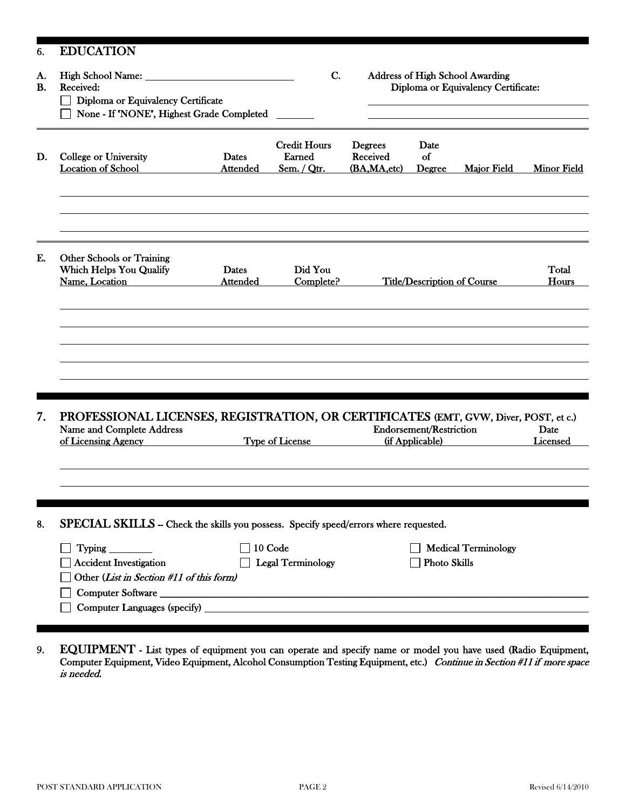| 6.              | <b>EDUCATION</b>                                                                                                                        |                                              |    |                                           |                                                   |                                                                        |                    |
|-----------------|-----------------------------------------------------------------------------------------------------------------------------------------|----------------------------------------------|----|-------------------------------------------|---------------------------------------------------|------------------------------------------------------------------------|--------------------|
| A.<br><b>B.</b> | High School Name: _<br>Received:<br>Diploma or Equivalency Certificate<br>None - If "NONE", Highest Grade Completed                     |                                              | C. |                                           |                                                   | Address of High School Awarding<br>Diploma or Equivalency Certificate: |                    |
| D.              | College or University<br><b>Dates</b><br><b>Location of School</b><br><b>Attended</b>                                                   | <b>Credit Hours</b><br>Earned<br>Sem. / Qtr. |    | <b>Degrees</b><br>Received<br>(BA,MA,etc) | Date<br>of<br>Degree                              | Major Field                                                            | <b>Minor Field</b> |
| E.              | <b>Other Schools or Training</b><br><b>Which Helps You Qualify</b><br><b>Dates</b><br>Name, Location<br><b>Attended</b>                 | Did You<br>Complete?                         |    |                                           | <b>Title/Description of Course</b>                |                                                                        | Total<br>Hours     |
|                 |                                                                                                                                         |                                              |    |                                           |                                                   |                                                                        |                    |
|                 |                                                                                                                                         |                                              |    |                                           |                                                   |                                                                        |                    |
| 7.              | PROFESSIONAL LICENSES, REGISTRATION, OR CERTIFICATES (EMT, GVW, Diver, POST, et c.)<br>Name and Complete Address<br>of Licensing Agency | <b>Type of License</b>                       |    |                                           | <b>Endorsement/Restriction</b><br>(if Applicable) |                                                                        | Date<br>Licensed   |
|                 |                                                                                                                                         |                                              |    |                                           |                                                   |                                                                        |                    |
| 8.              | SPECIAL SKILLS - Check the skills you possess. Specify speed/errors where requested.                                                    |                                              |    |                                           |                                                   |                                                                        |                    |
|                 | <b>Typing</b><br><b>Accident Investigation</b><br>Other (List in Section #11 of this form)                                              | 10 Code<br><b>Legal Terminology</b>          |    |                                           | <b>Photo Skills</b>                               | <b>Medical Terminology</b>                                             |                    |
|                 | Computer Languages (specify)                                                                                                            |                                              |    |                                           |                                                   |                                                                        |                    |
|                 |                                                                                                                                         |                                              |    |                                           |                                                   |                                                                        |                    |

9. EQUIPMENT - List types of equipment you can operate and specify name or model you have used (Radio Equipment, Computer Equipment, Video Equipment, Alcohol Consumption Testing Equipment, etc.) Continue in Section #11 if more space is needed.

Ι

i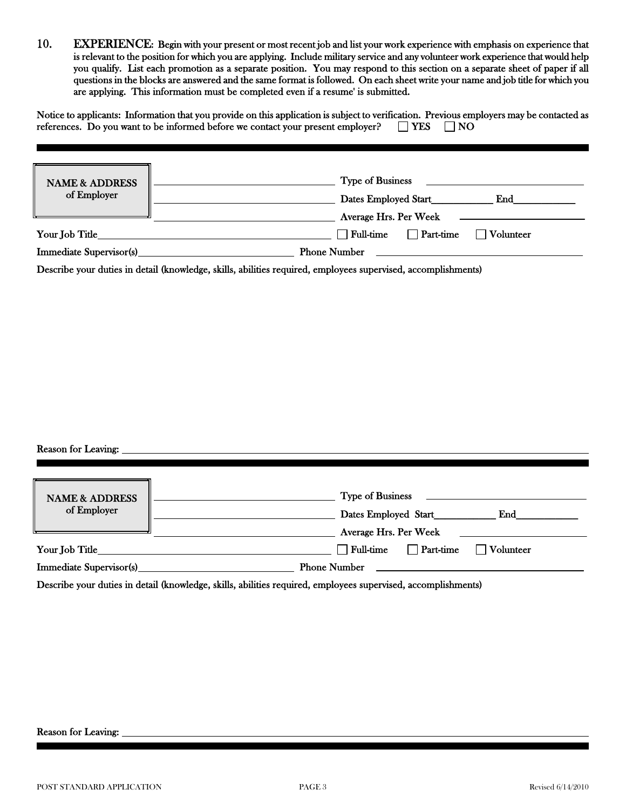10. EXPERIENCE: Begin with your present or most recent job and list your work experience with emphasis on experience that is relevant to the position for which you are applying. Include military service and any volunteer work experience that would help you qualify. List each promotion as a separate position. You may respond to this section on a separate sheet of paper if all questions in the blocks are answered and the same format is followed. On each sheet write your name and job title for which you are applying. This information must be completed even if a resume' is submitted.

|  | Notice to applicants: Information that you provide on this application is subject to verification. Previous employers may be contacted as |  |  |  |
|--|-------------------------------------------------------------------------------------------------------------------------------------------|--|--|--|
|  | references. Do you want to be informed before we contact your present employer? $\Box$ YES $\Box$ NO                                      |  |  |  |

| <b>NAME &amp; ADDRESS</b><br>of Employer | <b>Type of Business</b>         |           |
|------------------------------------------|---------------------------------|-----------|
|                                          | Dates Employed Start            | End       |
|                                          | Average Hrs. Per Week           |           |
| Your Job Title                           | $\sqcap$ Full-time<br>Part-time | Volunteer |
| <b>Immediate Supervisor(s)</b>           | <b>Phone Number</b>             |           |

Describe your duties in detail (knowledge, skills, abilities required, employees supervised, accomplishments)

#### Reason for Leaving:

i

i

| <b>NAME &amp; ADDRESS</b><br>of Employer | <b>Type of Business</b>                    |
|------------------------------------------|--------------------------------------------|
|                                          | Dates Employed Start<br>$\mathbf{End}$     |
|                                          | Average Hrs. Per Week                      |
| Your Job Title                           | Full-time<br>Volunteer<br>$\Box$ Part-time |
| Immediate Supervisor(s)                  | <b>Phone Number</b>                        |
|                                          |                                            |

Describe your duties in detail (knowledge, skills, abilities required, employees supervised, accomplishments)

i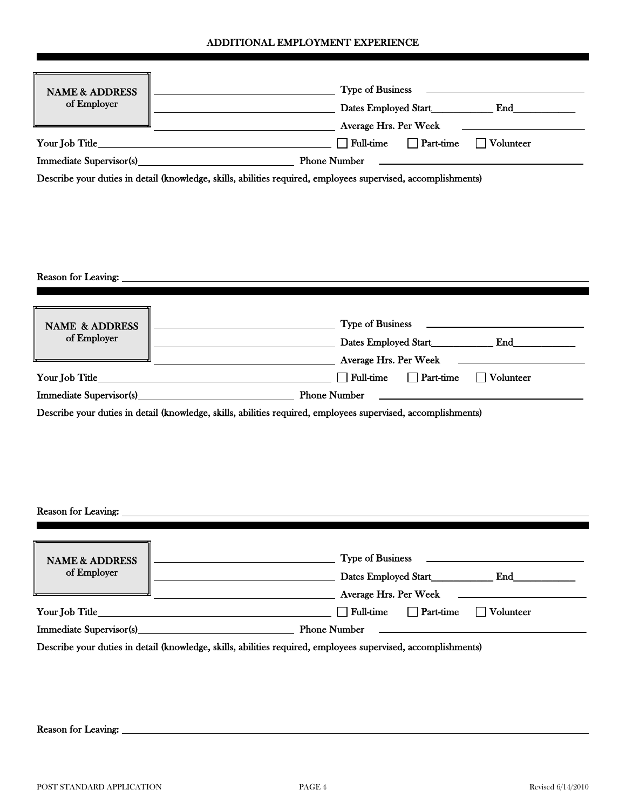#### ADDITIONAL EMPLOYMENT EXPERIENCE

| <b>NAME &amp; ADDRESS</b><br>of Employer                   | <b>Type of Business</b><br>Dates Employed Start<br>End<br>Average Hrs. Per Week<br><u> 1989 - Johann Stein, mars an t-Amerikaansk kommunister (</u>                                                                                                                                                                                                                                                                                                                                                                                                                                                                                                                                                                                                                            |
|------------------------------------------------------------|--------------------------------------------------------------------------------------------------------------------------------------------------------------------------------------------------------------------------------------------------------------------------------------------------------------------------------------------------------------------------------------------------------------------------------------------------------------------------------------------------------------------------------------------------------------------------------------------------------------------------------------------------------------------------------------------------------------------------------------------------------------------------------|
| Your Job Title_                                            | $\Box$ Full-time<br>$\Box$ Volunteer<br>$\Box$ Part-time<br><u> 1989 - Johann Stoff, Amerikaansk politiker (</u>                                                                                                                                                                                                                                                                                                                                                                                                                                                                                                                                                                                                                                                               |
|                                                            |                                                                                                                                                                                                                                                                                                                                                                                                                                                                                                                                                                                                                                                                                                                                                                                |
|                                                            | Describe your duties in detail (knowledge, skills, abilities required, employees supervised, accomplishments)                                                                                                                                                                                                                                                                                                                                                                                                                                                                                                                                                                                                                                                                  |
|                                                            |                                                                                                                                                                                                                                                                                                                                                                                                                                                                                                                                                                                                                                                                                                                                                                                |
| Reason for Leaving:                                        | <u> 1980 - Jan James Sammer, margaret eta idazlear (h. 1980).</u>                                                                                                                                                                                                                                                                                                                                                                                                                                                                                                                                                                                                                                                                                                              |
| <b>NAME &amp; ADDRESS</b><br>of Employer<br>Your Job Title | <b>Type of Business</b><br><u> 1989 - Johann Barbara, martxa alemaniar a</u><br><u> 1989 - Johann Barn, mars eta biztanleria (h. 1989).</u><br><b>Example 2018 Contract Contract Contract Contract Contract Contract Contract Contract Contract Contract Contract Contract Contract Contract Contract Contract Contract Contract Contract Contract Contract Contract Contract C</b><br><b>EXAMPLE 2018 Average Hrs. Per Week</b><br><b>Full-time</b><br>$\Box$ Part-time<br>$\Box$ Volunteer<br><u> 1989 - Johann Barn, mars ar breithinn ar chuid ann an t-</u><br>the control of the control of the control of the control of the control of the control of<br>Describe your duties in detail (knowledge, skills, abilities required, employees supervised, accomplishments) |
| Reason for Leaving:                                        |                                                                                                                                                                                                                                                                                                                                                                                                                                                                                                                                                                                                                                                                                                                                                                                |
| <b>NAME &amp; ADDRESS</b><br>of Employer<br>Your Job Title | <b>Type of Business</b><br><u> 1980 - Johann Barnett, fransk politiker (</u><br>Average Hrs. Per Week<br>$\Box$ Full-time<br>$\Box$ Part-time<br>Volunteer                                                                                                                                                                                                                                                                                                                                                                                                                                                                                                                                                                                                                     |
| <b>Immediate Supervisor(s)</b>                             | <b>Phone Number</b><br><u>and the contract of the contract of the contract of the contract of the contract of the contract of the contract of the contract of the contract of the contract of the contract of the contract of the contract of the contr</u>                                                                                                                                                                                                                                                                                                                                                                                                                                                                                                                    |

Describe your duties in detail (knowledge, skills, abilities required, employees supervised, accomplishments)

Reason for Leaving:

i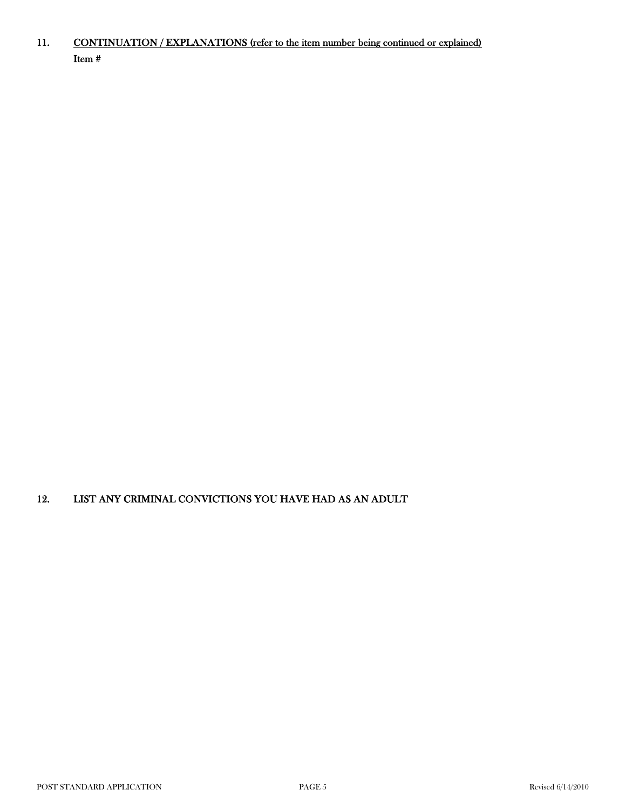#### 11. Item # CONTINUATION / EXPLANATIONS (refer to the item number being continued or explained)

#### 12. LIST ANY CRIMINAL CONVICTIONS YOU HAVE HAD AS AN ADULT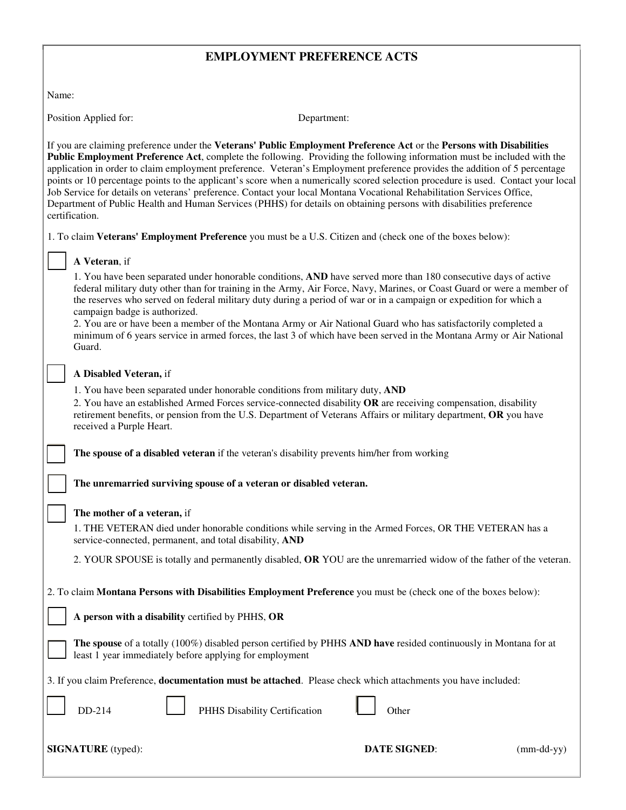# **EMPLOYMENT PREFERENCE ACTS**

Name:

Position Applied for: Department:

If you are claiming preference under the **Veterans' Public Employment Preference Act** or the **Persons with Disabilities Public Employment Preference Act**, complete the following. Providing the following information must be included with the application in order to claim employment preference. Veteran's Employment preference provides the addition of 5 percentage points or 10 percentage points to the applicant's score when a numerically scored selection procedure is used. Contact your local Job Service for details on veterans' preference. Contact your local Montana Vocational Rehabilitation Services Office, Department of Public Health and Human Services (PHHS) for details on obtaining persons with disabilities preference certification.

1. To claim **Veterans' Employment Preference** you must be a U.S. Citizen and (check one of the boxes below):

#### **A Veteran**, if

1. You have been separated under honorable conditions, **AND** have served more than 180 consecutive days of active federal military duty other than for training in the Army, Air Force, Navy, Marines, or Coast Guard or were a member of the reserves who served on federal military duty during a period of war or in a campaign or expedition for which a campaign badge is authorized.

2. You are or have been a member of the Montana Army or Air National Guard who has satisfactorily completed a minimum of 6 years service in armed forces, the last 3 of which have been served in the Montana Army or Air National Guard.

#### **A Disabled Veteran,** if

1. You have been separated under honorable conditions from military duty, **AND**

2. You have an established Armed Forces service-connected disability **OR** are receiving compensation, disability retirement benefits, or pension from the U.S. Department of Veterans Affairs or military department, **OR** you have received a Purple Heart.

**The spouse of a disabled veteran** if the veteran's disability prevents him/her from working

**The unremarried surviving spouse of a veteran or disabled veteran.**

#### **The mother of a veteran,** if

1. THE VETERAN died under honorable conditions while serving in the Armed Forces, OR THE VETERAN has a service-connected, permanent, and total disability, **AND**

2. YOUR SPOUSE is totally and permanently disabled, **OR** YOU are the unremarried widow of the father of the veteran.

2. To claim **Montana Persons with Disabilities Employment Preference** you must be (check one of the boxes below):

**A person with a disability** certified by PHHS, **OR**

**The spouse** of a totally (100%) disabled person certified by PHHS **AND have** resided continuously in Montana for at least 1 year immediately before applying for employment

 $\overline{a}$ 

3. If you claim Preference, **documentation must be attached**. Please check which attachments you have included:

4 **PHHS Disability Certification L** Other

**SIGNATURE** (typed): **DATE SIGNED**: (mm-dd-yy)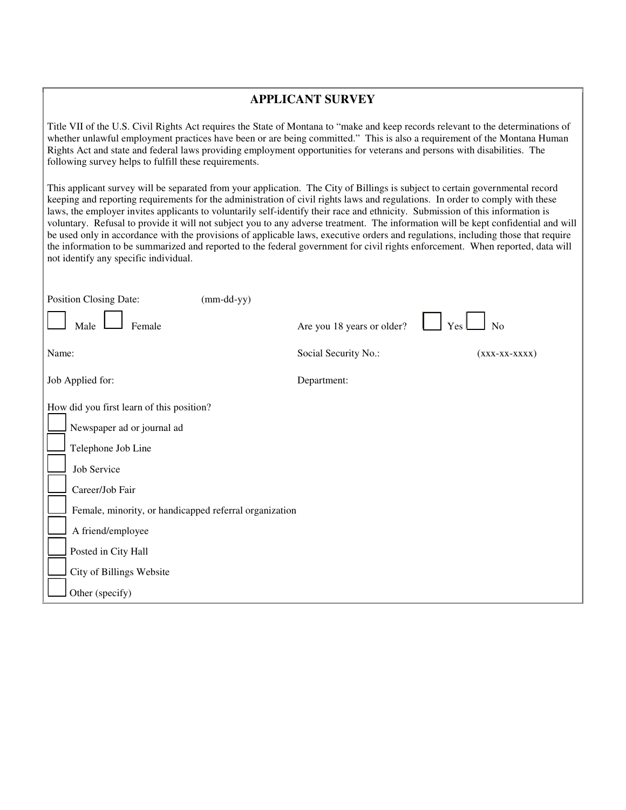#### **APPLICANT SURVEY**

Title VII of the U.S. Civil Rights Act requires the State of Montana to "make and keep records relevant to the determinations of whether unlawful employment practices have been or are being committed." This is also a requirement of the Montana Human Rights Act and state and federal laws providing employment opportunities for veterans and persons with disabilities. The following survey helps to fulfill these requirements.

This applicant survey will be separated from your application. The City of Billings is subject to certain governmental record keeping and reporting requirements for the administration of civil rights laws and regulations. In order to comply with these laws, the employer invites applicants to voluntarily self-identify their race and ethnicity. Submission of this information is voluntary. Refusal to provide it will not subject you to any adverse treatment. The information will be kept confidential and will be used only in accordance with the provisions of applicable laws, executive orders and regulations, including those that require the information to be summarized and reported to the federal government for civil rights enforcement. When reported, data will not identify any specific individual.

| Position Closing Date:<br>$(mm-dd-yy)$                                                                                                                                                                                                |                            |                     |  |  |
|---------------------------------------------------------------------------------------------------------------------------------------------------------------------------------------------------------------------------------------|----------------------------|---------------------|--|--|
| Female<br>Male                                                                                                                                                                                                                        | Are you 18 years or older? | No<br>Yes           |  |  |
| Name:                                                                                                                                                                                                                                 | Social Security No.:       | $(xxx - xx - XXXX)$ |  |  |
| Job Applied for:                                                                                                                                                                                                                      | Department:                |                     |  |  |
| How did you first learn of this position?<br>Newspaper ad or journal ad<br>Telephone Job Line<br>Job Service<br>Career/Job Fair<br>Female, minority, or handicapped referral organization<br>A friend/employee<br>Posted in City Hall |                            |                     |  |  |
| City of Billings Website                                                                                                                                                                                                              |                            |                     |  |  |
| Other (specify)                                                                                                                                                                                                                       |                            |                     |  |  |